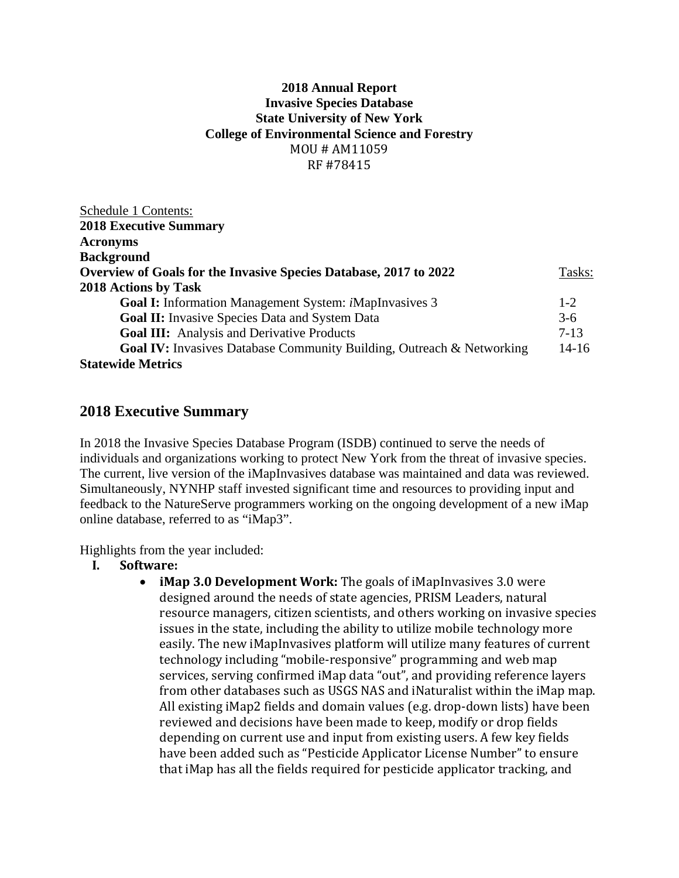### **2018 Annual Report Invasive Species Database State University of New York College of Environmental Science and Forestry**  MOU # AM11059 RF #78415

| Schedule 1 Contents:                                                         |           |
|------------------------------------------------------------------------------|-----------|
| <b>2018 Executive Summary</b>                                                |           |
| <b>Acronyms</b>                                                              |           |
| <b>Background</b>                                                            |           |
| Overview of Goals for the Invasive Species Database, 2017 to 2022            | Tasks:    |
| 2018 Actions by Task                                                         |           |
| <b>Goal I:</b> Information Management System: <i>iMapInvasives</i> 3         | $1-2$     |
| <b>Goal II:</b> Invasive Species Data and System Data                        | $3-6$     |
| Goal III: Analysis and Derivative Products                                   | $7 - 13$  |
| <b>Goal IV:</b> Invasives Database Community Building, Outreach & Networking | $14 - 16$ |
| <b>Statewide Metrics</b>                                                     |           |

# **2018 Executive Summary**

In 2018 the Invasive Species Database Program (ISDB) continued to serve the needs of individuals and organizations working to protect New York from the threat of invasive species. The current, live version of the iMapInvasives database was maintained and data was reviewed. Simultaneously, NYNHP staff invested significant time and resources to providing input and feedback to the NatureServe programmers working on the ongoing development of a new iMap online database, referred to as "iMap3".

Highlights from the year included:

- **I. Software:**
	- **iMap 3.0 Development Work:** The goals of iMapInvasives 3.0 were designed around the needs of state agencies, PRISM Leaders, natural resource managers, citizen scientists, and others working on invasive species issues in the state, including the ability to utilize mobile technology more easily. The new iMapInvasives platform will utilize many features of current technology including "mobile-responsive" programming and web map services, serving confirmed iMap data "out", and providing reference layers from other databases such as USGS NAS and iNaturalist within the iMap map. All existing iMap2 fields and domain values (e.g. drop-down lists) have been reviewed and decisions have been made to keep, modify or drop fields depending on current use and input from existing users. A few key fields have been added such as "Pesticide Applicator License Number" to ensure that iMap has all the fields required for pesticide applicator tracking, and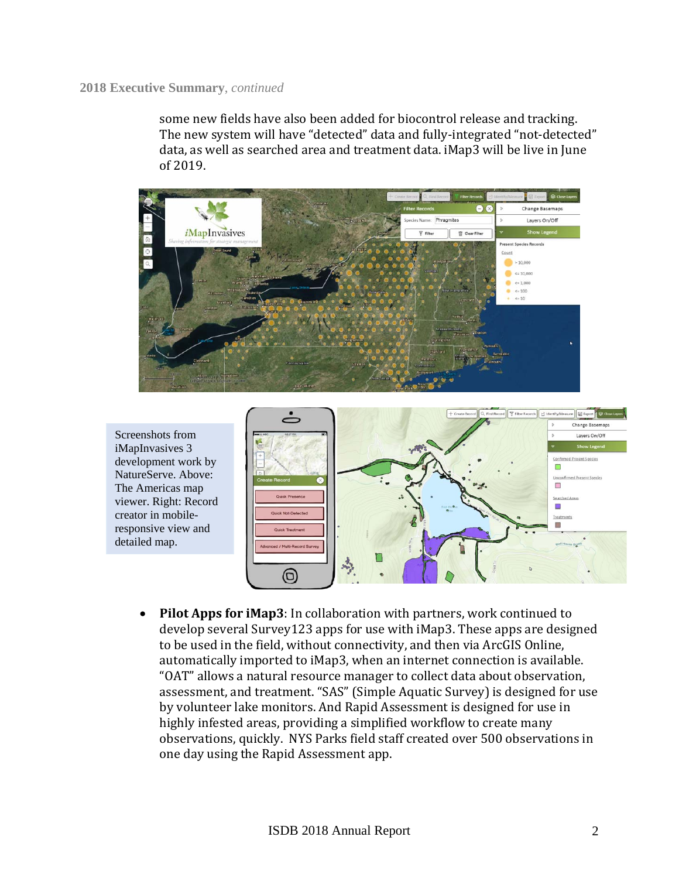some new fields have also been added for biocontrol release and tracking. The new system will have "detected" data and fully-integrated "not-detected" data, as well as searched area and treatment data. iMap3 will be live in June of 2019.



Screenshots from iMapInvasives 3 development work by NatureServe. Above: The Americas map viewer. Right: Record creator in mobileresponsive view and detailed map.



• Pilot Apps for **iMap3**: In collaboration with partners, work continued to develop several Survey123 apps for use with  $\Delta$  iMap3. These apps are designed to be used in the field, without connectivity, and then via ArcGIS Online, automatically imported to iMap3, when an internet connection is available. "OAT" allows a natural resource manager to collect data about observation, assessment, and treatment. "SAS" (Simple Aquatic Survey) is designed for use bv volunteer lake monitors. And Rapid Assessment is designed for use in highly infested areas, providing a simplified workflow to create many observations, quickly. NYS Parks field staff created over 500 observations in one day using the Rapid Assessment app.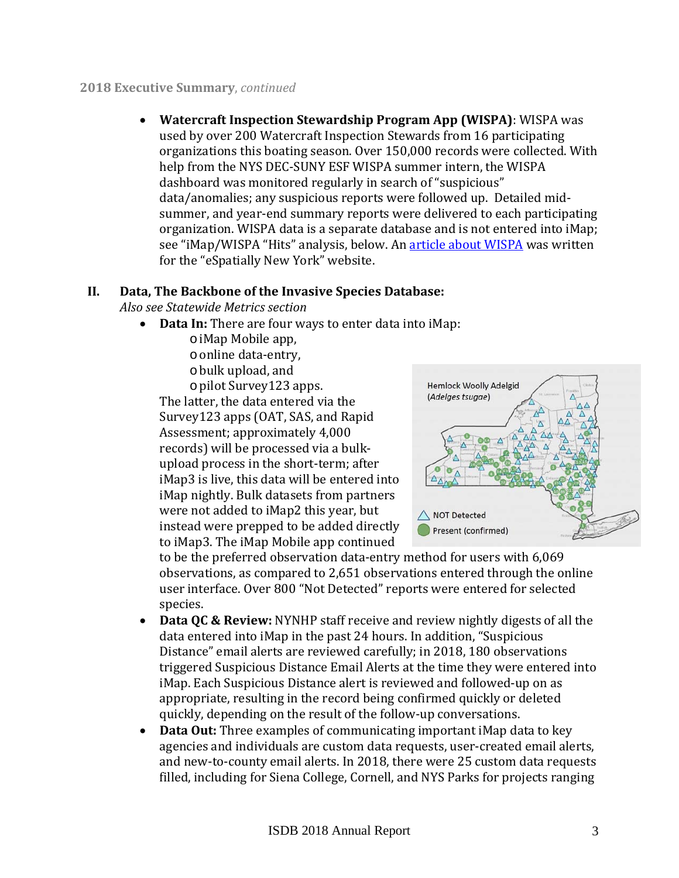**Watercraft Inspection Stewardship Program App (WISPA)**: WISPA was used by over 200 Watercraft Inspection Stewards from 16 participating organizations this boating season. Over 150,000 records were collected. With help from the NYS DEC-SUNY ESF WISPA summer intern, the WISPA dashboard was monitored regularly in search of "suspicious" data/anomalies; any suspicious reports were followed up. Detailed midsummer, and year-end summary reports were delivered to each participating organization. WISPA data is a separate database and is not entered into iMap; see "iMap/WISPA "Hits" analysis, below. An article about WISPA was written for the "eSpatially New York" website.

# **II. Data, The Backbone of the Invasive Species Database:**

*Also see Statewide Metrics section*

- **Data In:** There are four ways to enter data into iMap:
	- o iMap Mobile app,
	- o online data-entry.
	- o bulk upload, and

o pilot Survey123 apps. 

The latter, the data entered via the Survey123 apps (OAT, SAS, and Rapid) Assessment; approximately 4,000 records) will be processed via a bulkupload process in the short-term; after iMap3 is live, this data will be entered into iMap nightly. Bulk datasets from partners were not added to iMap2 this year, but instead were prepped to be added directly to iMap3. The iMap Mobile app continued



to be the preferred observation data-entry method for users with 6,069 observations, as compared to 2,651 observations entered through the online user interface. Over 800 "Not Detected" reports were entered for selected species. 

- **Data QC & Review:** NYNHP staff receive and review nightly digests of all the data entered into iMap in the past 24 hours. In addition, "Suspicious Distance" email alerts are reviewed carefully; in 2018, 180 observations triggered Suspicious Distance Email Alerts at the time they were entered into iMap. Each Suspicious Distance alert is reviewed and followed-up on as appropriate, resulting in the record being confirmed quickly or deleted quickly, depending on the result of the follow-up conversations.
- **Data Out:** Three examples of communicating important iMap data to key agencies and individuals are custom data requests, user-created email alerts, and new-to-county email alerts. In 2018, there were 25 custom data requests filled, including for Siena College, Cornell, and NYS Parks for projects ranging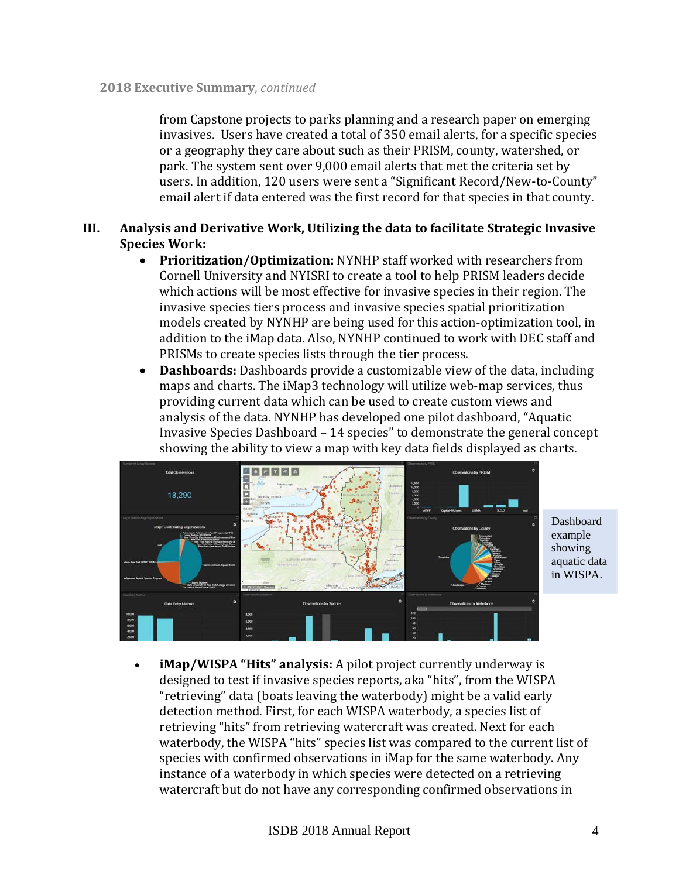from Capstone projects to parks planning and a research paper on emerging invasives. Users have created a total of 350 email alerts, for a specific species or a geography they care about such as their PRISM, county, watershed, or park. The system sent over 9,000 email alerts that met the criteria set by users. In addition, 120 users were sent a "Significant Record/New-to-County" email alert if data entered was the first record for that species in that county.

# **III. Analysis and Derivative Work, Utilizing the data to facilitate Strategic Invasive Species Work:**

- Prioritization/Optimization: NYNHP staff worked with researchers from Cornell University and NYISRI to create a tool to help PRISM leaders decide which actions will be most effective for invasive species in their region. The invasive species tiers process and invasive species spatial prioritization models created by NYNHP are being used for this action-optimization tool, in addition to the iMap data. Also, NYNHP continued to work with DEC staff and PRISMs to create species lists through the tier process.
- Dashboards: Dashboards provide a customizable view of the data, including maps and charts. The iMap3 technology will utilize web-map services, thus providing current data which can be used to create custom views and analysis of the data. NYNHP has developed one pilot dashboard, "Aquatic Invasive Species Dashboard - 14 species" to demonstrate the general concept showing the ability to view a map with key data fields displayed as charts.



Dashboard example showing aquatic data in WISPA.

**iMap/WISPA "Hits" analysis:** A pilot project currently underway is designed to test if invasive species reports, aka "hits", from the WISPA "retrieving" data (boats leaving the waterbody) might be a valid early detection method. First, for each WISPA waterbody, a species list of retrieving "hits" from retrieving watercraft was created. Next for each waterbody, the WISPA "hits" species list was compared to the current list of species with confirmed observations in iMap for the same waterbody. Any instance of a waterbody in which species were detected on a retrieving watercraft but do not have any corresponding confirmed observations in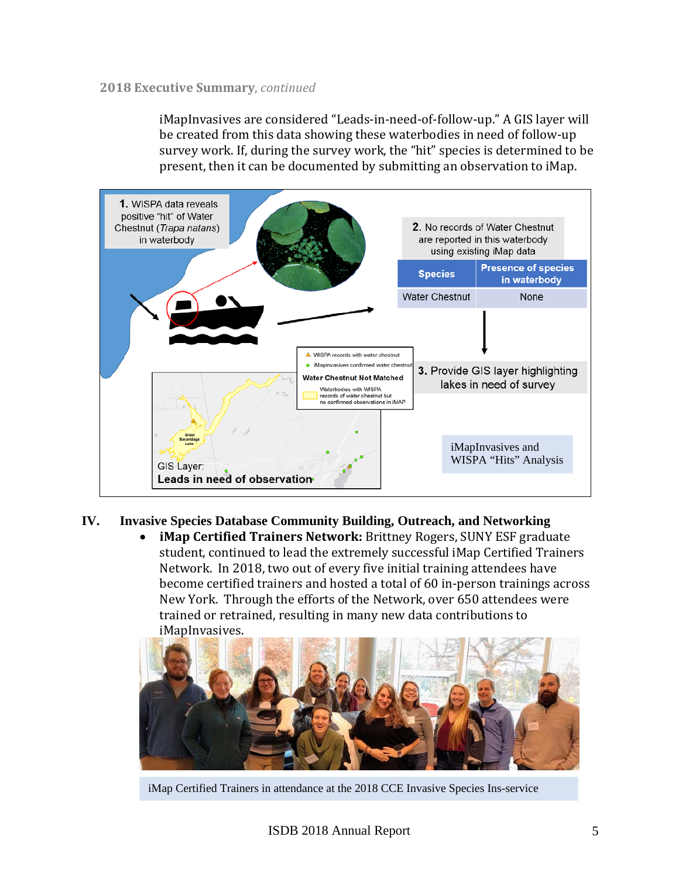iMapInvasives are considered "Leads-in-need-of-follow-up." A GIS layer will be created from this data showing these waterbodies in need of follow-up survey work. If, during the survey work, the "hit" species is determined to be present, then it can be documented by submitting an observation to iMap.



# **IV. Invasive Species Database Community Building, Outreach, and Networking**

**iMap Certified Trainers Network:** Brittney Rogers, SUNY ESF graduate student, continued to lead the extremely successful iMap Certified Trainers Network. In 2018, two out of every five initial training attendees have become certified trainers and hosted a total of 60 in-person trainings across New York. Through the efforts of the Network, over 650 attendees were trained or retrained, resulting in many new data contributions to iMapInvasives. 



iMap Certified Trainers in attendance at the 2018 CCE Invasive Species Ins-service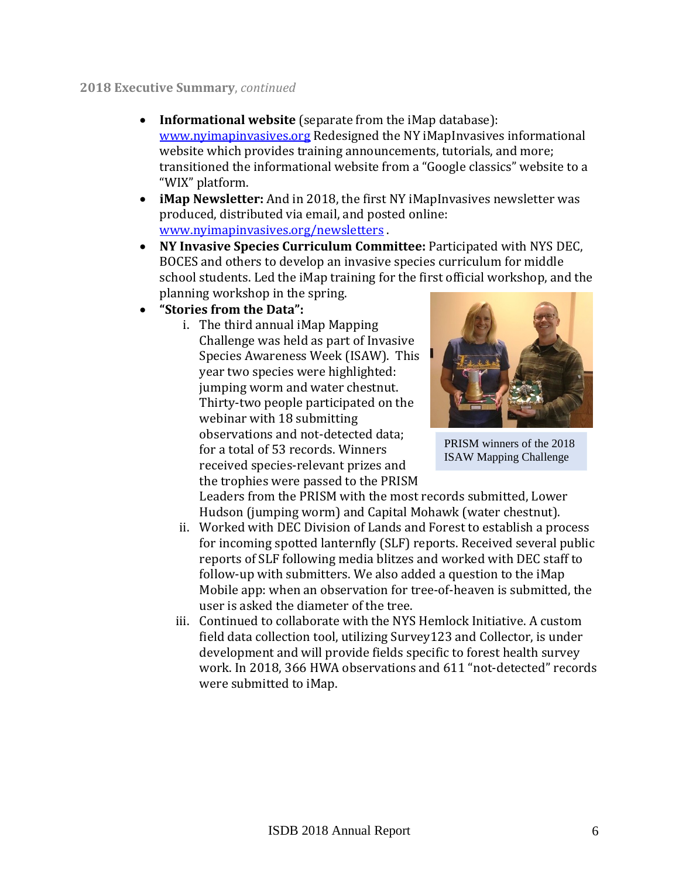- **Informational website** (separate from the iMap database): www.nyimapinvasives.org Redesigned the NY iMapInvasives informational website which provides training announcements, tutorials, and more; transitioned the informational website from a "Google classics" website to a "WIX" platform.
- **iMap Newsletter:** And in 2018, the first NY iMapInvasives newsletter was produced, distributed via email, and posted online: www.nyimapinvasives.org/newsletters
- **NY Invasive Species Curriculum Committee:** Participated with NYS DEC, BOCES and others to develop an invasive species curriculum for middle school students. Led the iMap training for the first official workshop, and the planning workshop in the spring.
- **"Stories from the Data":**
	- i. The third annual iMap Mapping Challenge was held as part of Invasive Species Awareness Week (ISAW). This year two species were highlighted: jumping worm and water chestnut. Thirty-two people participated on the webinar with 18 submitting observations and not-detected data; for a total of 53 records. Winners received species-relevant prizes and the trophies were passed to the PRISM



PRISM winners of the 2018 ISAW Mapping Challenge

Leaders from the PRISM with the most records submitted, Lower Hudson (jumping worm) and Capital Mohawk (water chestnut).

- ii. Worked with DEC Division of Lands and Forest to establish a process for incoming spotted lanternfly (SLF) reports. Received several public reports of SLF following media blitzes and worked with DEC staff to follow-up with submitters. We also added a question to the iMap Mobile app: when an observation for tree-of-heaven is submitted, the user is asked the diameter of the tree.
- iii. Continued to collaborate with the NYS Hemlock Initiative. A custom field data collection tool, utilizing Survey123 and Collector, is under development and will provide fields specific to forest health survey work. In 2018, 366 HWA observations and 611 "not-detected" records were submitted to iMap.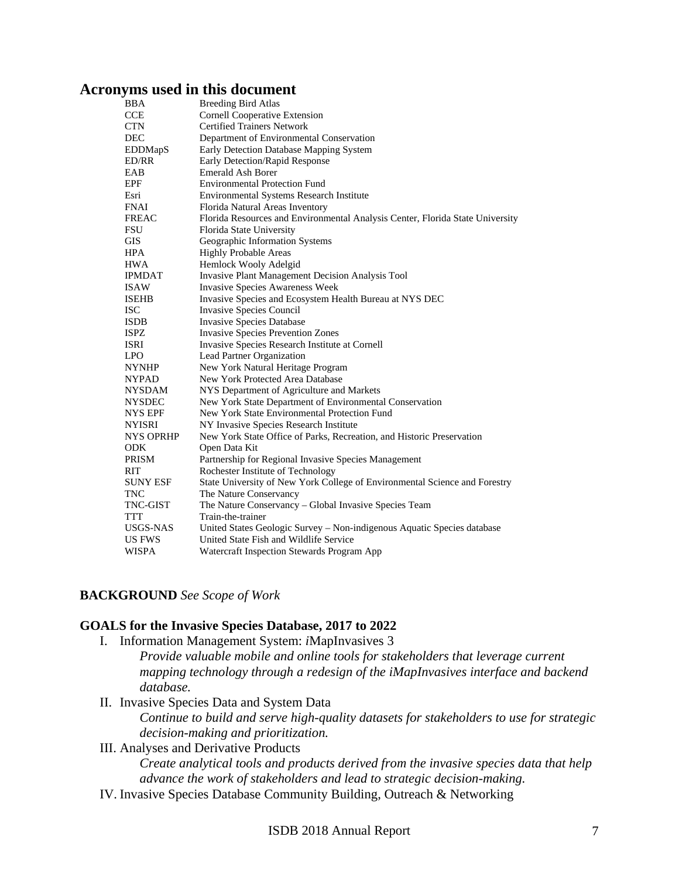# **Acronyms used in this document**

| BBA             | <b>Breeding Bird Atlas</b>                                                    |
|-----------------|-------------------------------------------------------------------------------|
| CCE             | <b>Cornell Cooperative Extension</b>                                          |
| CTN             | <b>Certified Trainers Network</b>                                             |
| DEC             | Department of Environmental Conservation                                      |
| <b>EDDMapS</b>  | Early Detection Database Mapping System                                       |
| ED/RR           | Early Detection/Rapid Response                                                |
| EAB             | <b>Emerald Ash Borer</b>                                                      |
| EPF             | <b>Environmental Protection Fund</b>                                          |
| Esri            | Environmental Systems Research Institute                                      |
| FNAI            | Florida Natural Areas Inventory                                               |
| FREAC           | Florida Resources and Environmental Analysis Center, Florida State University |
| FSU             | Florida State University                                                      |
| GIS             | Geographic Information Systems                                                |
| HPA             | <b>Highly Probable Areas</b>                                                  |
| HWA             | Hemlock Wooly Adelgid                                                         |
| IPMDAT          | <b>Invasive Plant Management Decision Analysis Tool</b>                       |
| ISAW            | <b>Invasive Species Awareness Week</b>                                        |
| ISEHB           | Invasive Species and Ecosystem Health Bureau at NYS DEC                       |
| ISC             | Invasive Species Council                                                      |
| ISDB            | <b>Invasive Species Database</b>                                              |
| ISPZ            | <b>Invasive Species Prevention Zones</b>                                      |
| ISRI            | Invasive Species Research Institute at Cornell                                |
| LPO             | Lead Partner Organization                                                     |
| NYNHP           | New York Natural Heritage Program                                             |
| NYPAD           | New York Protected Area Database                                              |
| NYSDAM          | NYS Department of Agriculture and Markets                                     |
| NYSDEC          | New York State Department of Environmental Conservation                       |
| NYS EPF         | New York State Environmental Protection Fund                                  |
| NYISRI          | NY Invasive Species Research Institute                                        |
| NYS OPRHP       | New York State Office of Parks, Recreation, and Historic Preservation         |
| ODK             | Open Data Kit                                                                 |
| PRISM           | Partnership for Regional Invasive Species Management                          |
| RIT             | Rochester Institute of Technology                                             |
| <b>SUNY ESF</b> | State University of New York College of Environmental Science and Forestry    |
| TNC             | The Nature Conservancy                                                        |
| TNC-GIST        | The Nature Conservancy – Global Invasive Species Team                         |
| TTT             | Train-the-trainer                                                             |
| USGS-NAS        | United States Geologic Survey - Non-indigenous Aquatic Species database       |
| US FWS          | United State Fish and Wildlife Service                                        |
| WISPA           | Watercraft Inspection Stewards Program App                                    |
|                 |                                                                               |

# **BACKGROUND** *See Scope of Work*

#### **GOALS for the Invasive Species Database, 2017 to 2022**

I. Information Management System: *i*MapInvasives 3

*Provide valuable mobile and online tools for stakeholders that leverage current mapping technology through a redesign of the iMapInvasives interface and backend database.* 

II. Invasive Species Data and System Data

*Continue to build and serve high-quality datasets for stakeholders to use for strategic decision-making and prioritization.* 

# III. Analyses and Derivative Products

*Create analytical tools and products derived from the invasive species data that help advance the work of stakeholders and lead to strategic decision-making.* 

IV. Invasive Species Database Community Building, Outreach & Networking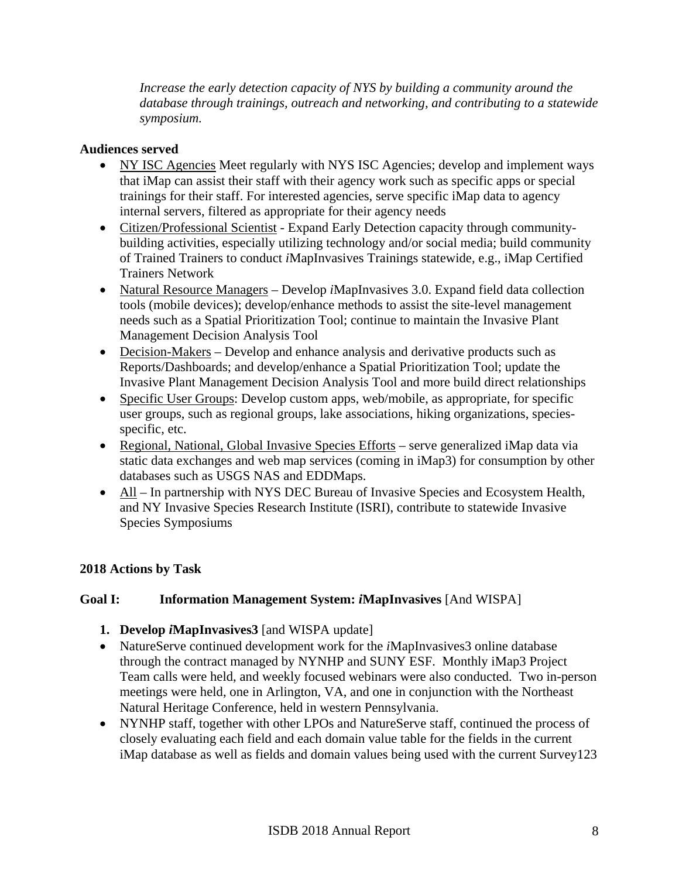*Increase the early detection capacity of NYS by building a community around the database through trainings, outreach and networking, and contributing to a statewide symposium.* 

### **Audiences served**

- NY ISC Agencies Meet regularly with NYS ISC Agencies; develop and implement ways that iMap can assist their staff with their agency work such as specific apps or special trainings for their staff. For interested agencies, serve specific iMap data to agency internal servers, filtered as appropriate for their agency needs
- Citizen/Professional Scientist Expand Early Detection capacity through communitybuilding activities, especially utilizing technology and/or social media; build community of Trained Trainers to conduct *i*MapInvasives Trainings statewide, e.g., iMap Certified Trainers Network
- Natural Resource Managers Develop *i*MapInvasives 3.0. Expand field data collection tools (mobile devices); develop/enhance methods to assist the site-level management needs such as a Spatial Prioritization Tool; continue to maintain the Invasive Plant Management Decision Analysis Tool
- Decision-Makers Develop and enhance analysis and derivative products such as Reports/Dashboards; and develop/enhance a Spatial Prioritization Tool; update the Invasive Plant Management Decision Analysis Tool and more build direct relationships
- Specific User Groups: Develop custom apps, web/mobile, as appropriate, for specific user groups, such as regional groups, lake associations, hiking organizations, speciesspecific, etc.
- Regional, National, Global Invasive Species Efforts serve generalized iMap data via static data exchanges and web map services (coming in iMap3) for consumption by other databases such as USGS NAS and EDDMaps.
- All In partnership with NYS DEC Bureau of Invasive Species and Ecosystem Health, and NY Invasive Species Research Institute (ISRI), contribute to statewide Invasive Species Symposiums

# **2018 Actions by Task**

# **Goal I: Information Management System:** *i***MapInvasives** [And WISPA]

- **1. Develop** *i***MapInvasives3** [and WISPA update]
- NatureServe continued development work for the *i*MapInvasives3 online database through the contract managed by NYNHP and SUNY ESF. Monthly iMap3 Project Team calls were held, and weekly focused webinars were also conducted. Two in-person meetings were held, one in Arlington, VA, and one in conjunction with the Northeast Natural Heritage Conference, held in western Pennsylvania.
- NYNHP staff, together with other LPOs and NatureServe staff, continued the process of closely evaluating each field and each domain value table for the fields in the current iMap database as well as fields and domain values being used with the current Survey123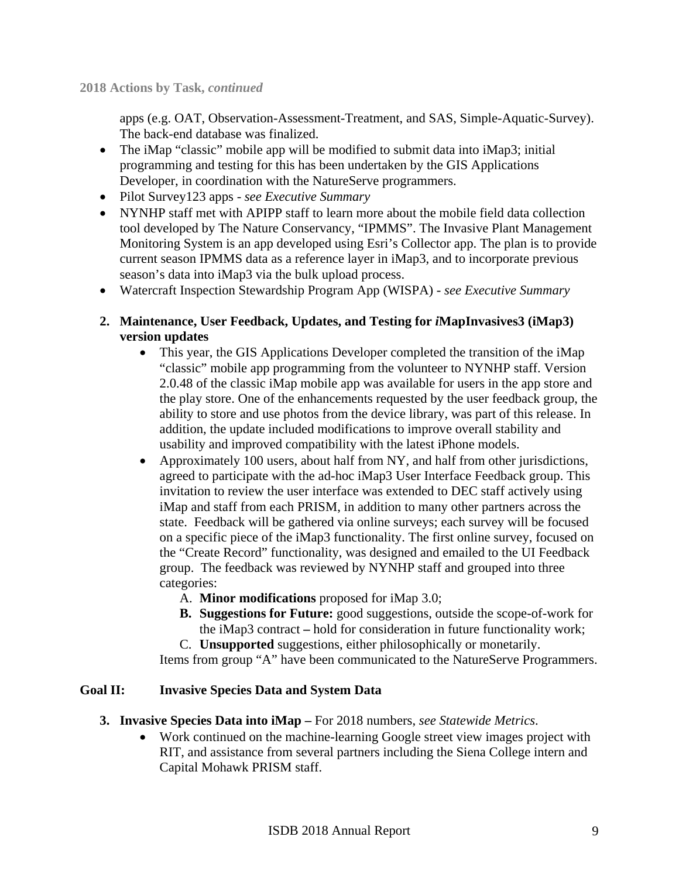apps (e.g. OAT, Observation-Assessment-Treatment, and SAS, Simple-Aquatic-Survey). The back-end database was finalized.

- The iMap "classic" mobile app will be modified to submit data into iMap3; initial programming and testing for this has been undertaken by the GIS Applications Developer, in coordination with the NatureServe programmers.
- Pilot Survey123 apps *see Executive Summary*
- NYNHP staff met with APIPP staff to learn more about the mobile field data collection tool developed by The Nature Conservancy, "IPMMS". The Invasive Plant Management Monitoring System is an app developed using Esri's Collector app. The plan is to provide current season IPMMS data as a reference layer in iMap3, and to incorporate previous season's data into iMap3 via the bulk upload process.
- Watercraft Inspection Stewardship Program App (WISPA) *see Executive Summary*
- **2. Maintenance, User Feedback, Updates, and Testing for** *i***MapInvasives3 (iMap3) version updates** 
	- This year, the GIS Applications Developer completed the transition of the iMap "classic" mobile app programming from the volunteer to NYNHP staff. Version 2.0.48 of the classic iMap mobile app was available for users in the app store and the play store. One of the enhancements requested by the user feedback group, the ability to store and use photos from the device library, was part of this release. In addition, the update included modifications to improve overall stability and usability and improved compatibility with the latest iPhone models.
	- Approximately 100 users, about half from NY, and half from other jurisdictions, agreed to participate with the ad-hoc iMap3 User Interface Feedback group. This invitation to review the user interface was extended to DEC staff actively using iMap and staff from each PRISM, in addition to many other partners across the state. Feedback will be gathered via online surveys; each survey will be focused on a specific piece of the iMap3 functionality. The first online survey, focused on the "Create Record" functionality, was designed and emailed to the UI Feedback group. The feedback was reviewed by NYNHP staff and grouped into three categories:
		- A. **Minor modifications** proposed for iMap 3.0;
		- **B. Suggestions for Future:** good suggestions, outside the scope-of-work for the iMap3 contract **–** hold for consideration in future functionality work;
		- C. **Unsupported** suggestions, either philosophically or monetarily.

Items from group "A" have been communicated to the NatureServe Programmers.

# **Goal II: Invasive Species Data and System Data**

- **3. Invasive Species Data into iMap** For 2018 numbers, *see Statewide Metrics*.
	- Work continued on the machine-learning Google street view images project with RIT, and assistance from several partners including the Siena College intern and Capital Mohawk PRISM staff.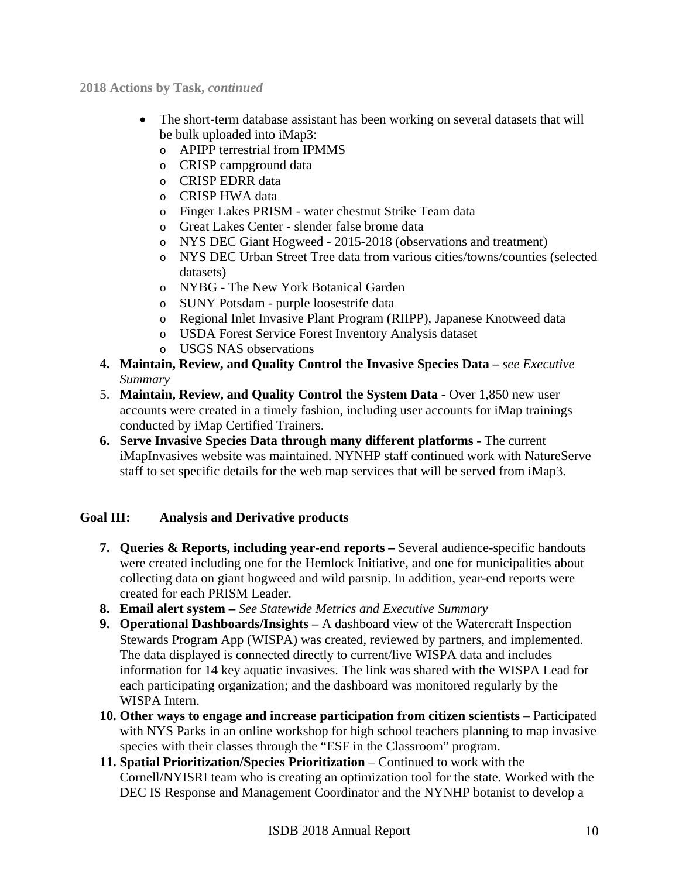**2018 Actions by Task,** *continued* 

- The short-term database assistant has been working on several datasets that will be bulk uploaded into iMap3:
	- o APIPP terrestrial from IPMMS
	- o CRISP campground data
	- o CRISP EDRR data
	- o CRISP HWA data
	- o Finger Lakes PRISM water chestnut Strike Team data
	- o Great Lakes Center slender false brome data
	- o NYS DEC Giant Hogweed 2015-2018 (observations and treatment)
	- o NYS DEC Urban Street Tree data from various cities/towns/counties (selected datasets)
	- o NYBG The New York Botanical Garden
	- o SUNY Potsdam purple loosestrife data
	- o Regional Inlet Invasive Plant Program (RIIPP), Japanese Knotweed data
	- o USDA Forest Service Forest Inventory Analysis dataset
	- o USGS NAS observations
- **4. Maintain, Review, and Quality Control the Invasive Species Data** *see Executive Summary*
- 5. **Maintain, Review, and Quality Control the System Data**  Over 1,850 new user accounts were created in a timely fashion, including user accounts for iMap trainings conducted by iMap Certified Trainers.
- **6. Serve Invasive Species Data through many different platforms** The current iMapInvasives website was maintained. NYNHP staff continued work with NatureServe staff to set specific details for the web map services that will be served from iMap3.

# **Goal III: Analysis and Derivative products**

- **7. Queries & Reports, including year-end reports** Several audience-specific handouts were created including one for the Hemlock Initiative, and one for municipalities about collecting data on giant hogweed and wild parsnip. In addition, year-end reports were created for each PRISM Leader.
- **8. Email alert system** *See Statewide Metrics and Executive Summary*
- **9. Operational Dashboards/Insights** A dashboard view of the Watercraft Inspection Stewards Program App (WISPA) was created, reviewed by partners, and implemented. The data displayed is connected directly to current/live WISPA data and includes information for 14 key aquatic invasives. The link was shared with the WISPA Lead for each participating organization; and the dashboard was monitored regularly by the WISPA Intern.
- **10. Other ways to engage and increase participation from citizen scientists** Participated with NYS Parks in an online workshop for high school teachers planning to map invasive species with their classes through the "ESF in the Classroom" program.
- **11. Spatial Prioritization/Species Prioritization** Continued to work with the Cornell/NYISRI team who is creating an optimization tool for the state. Worked with the DEC IS Response and Management Coordinator and the NYNHP botanist to develop a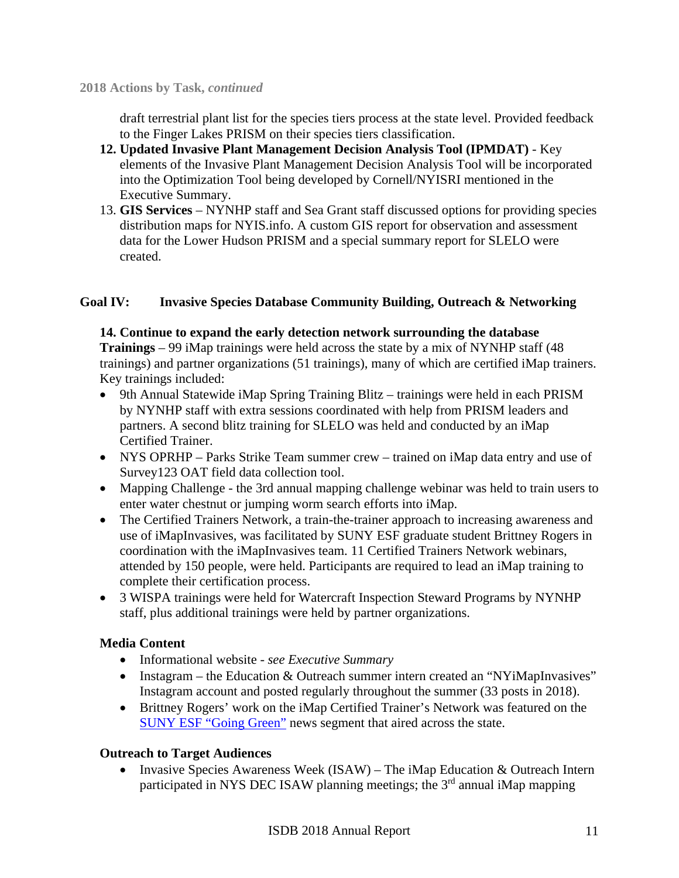draft terrestrial plant list for the species tiers process at the state level. Provided feedback to the Finger Lakes PRISM on their species tiers classification.

- **12. Updated Invasive Plant Management Decision Analysis Tool (IPMDAT)**  Key elements of the Invasive Plant Management Decision Analysis Tool will be incorporated into the Optimization Tool being developed by Cornell/NYISRI mentioned in the Executive Summary.
- 13. **GIS Services** NYNHP staff and Sea Grant staff discussed options for providing species distribution maps for NYIS.info. A custom GIS report for observation and assessment data for the Lower Hudson PRISM and a special summary report for SLELO were created.

# **Goal IV: Invasive Species Database Community Building, Outreach & Networking**

#### **14. Continue to expand the early detection network surrounding the database**

**Trainings** – 99 iMap trainings were held across the state by a mix of NYNHP staff (48 trainings) and partner organizations (51 trainings), many of which are certified iMap trainers. Key trainings included:

- 9th Annual Statewide iMap Spring Training Blitz trainings were held in each PRISM by NYNHP staff with extra sessions coordinated with help from PRISM leaders and partners. A second blitz training for SLELO was held and conducted by an iMap Certified Trainer.
- NYS OPRHP Parks Strike Team summer crew trained on iMap data entry and use of Survey123 OAT field data collection tool.
- Mapping Challenge the 3rd annual mapping challenge webinar was held to train users to enter water chestnut or jumping worm search efforts into iMap.
- The Certified Trainers Network, a train-the-trainer approach to increasing awareness and use of iMapInvasives, was facilitated by SUNY ESF graduate student Brittney Rogers in coordination with the iMapInvasives team. 11 Certified Trainers Network webinars, attended by 150 people, were held. Participants are required to lead an iMap training to complete their certification process.
- 3 WISPA trainings were held for Watercraft Inspection Steward Programs by NYNHP staff, plus additional trainings were held by partner organizations.

# **Media Content**

- Informational website *see Executive Summary*
- Instagram the Education & Outreach summer intern created an "NYiMapInvasives" Instagram account and posted regularly throughout the summer (33 posts in 2018).
- Brittney Rogers' work on the iMap Certified Trainer's Network was featured on the SUNY ESF "Going Green" news segment that aired across the state.

# **Outreach to Target Audiences**

• Invasive Species Awareness Week (ISAW) – The iMap Education & Outreach Intern participated in NYS DEC ISAW planning meetings; the 3<sup>rd</sup> annual iMap mapping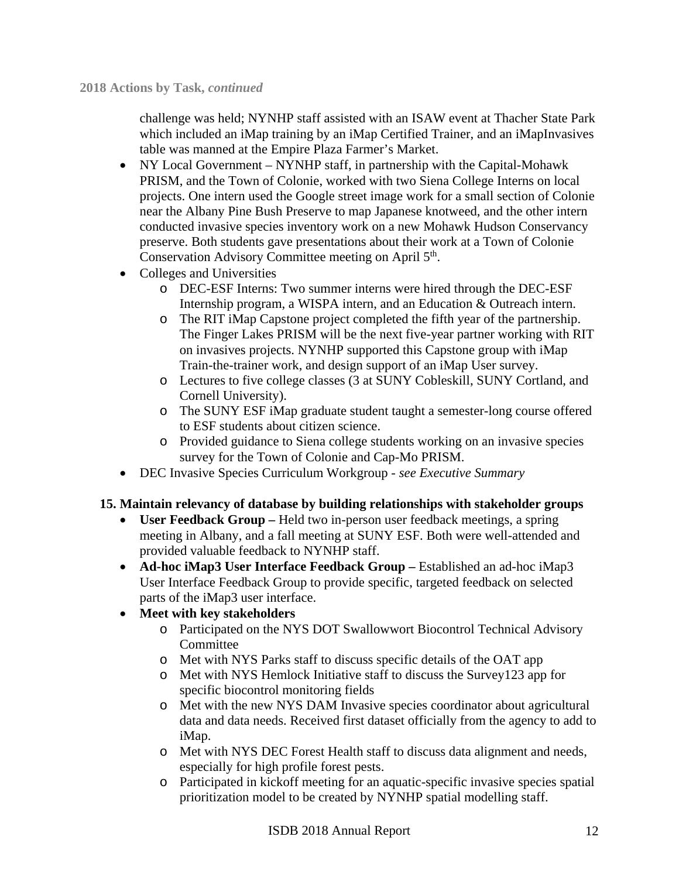challenge was held; NYNHP staff assisted with an ISAW event at Thacher State Park which included an iMap training by an iMap Certified Trainer, and an iMapInvasives table was manned at the Empire Plaza Farmer's Market.

- NY Local Government NYNHP staff, in partnership with the Capital-Mohawk PRISM, and the Town of Colonie, worked with two Siena College Interns on local projects. One intern used the Google street image work for a small section of Colonie near the Albany Pine Bush Preserve to map Japanese knotweed, and the other intern conducted invasive species inventory work on a new Mohawk Hudson Conservancy preserve. Both students gave presentations about their work at a Town of Colonie Conservation Advisory Committee meeting on April 5<sup>th</sup>.
- Colleges and Universities
	- o DEC-ESF Interns: Two summer interns were hired through the DEC-ESF Internship program, a WISPA intern, and an Education & Outreach intern.
	- o The RIT iMap Capstone project completed the fifth year of the partnership. The Finger Lakes PRISM will be the next five-year partner working with RIT on invasives projects. NYNHP supported this Capstone group with iMap Train-the-trainer work, and design support of an iMap User survey.
	- o Lectures to five college classes (3 at SUNY Cobleskill, SUNY Cortland, and Cornell University).
	- o The SUNY ESF iMap graduate student taught a semester-long course offered to ESF students about citizen science.
	- o Provided guidance to Siena college students working on an invasive species survey for the Town of Colonie and Cap-Mo PRISM.
- DEC Invasive Species Curriculum Workgroup *see Executive Summary*

#### **15. Maintain relevancy of database by building relationships with stakeholder groups**

- **User Feedback Group** Held two in-person user feedback meetings, a spring meeting in Albany, and a fall meeting at SUNY ESF. Both were well-attended and provided valuable feedback to NYNHP staff.
- **Ad-hoc iMap3 User Interface Feedback Group** Established an ad-hoc iMap3 User Interface Feedback Group to provide specific, targeted feedback on selected parts of the iMap3 user interface.

# **Meet with key stakeholders**

- o Participated on the NYS DOT Swallowwort Biocontrol Technical Advisory **Committee**
- o Met with NYS Parks staff to discuss specific details of the OAT app
- o Met with NYS Hemlock Initiative staff to discuss the Survey123 app for specific biocontrol monitoring fields
- o Met with the new NYS DAM Invasive species coordinator about agricultural data and data needs. Received first dataset officially from the agency to add to iMap.
- o Met with NYS DEC Forest Health staff to discuss data alignment and needs, especially for high profile forest pests.
- o Participated in kickoff meeting for an aquatic-specific invasive species spatial prioritization model to be created by NYNHP spatial modelling staff.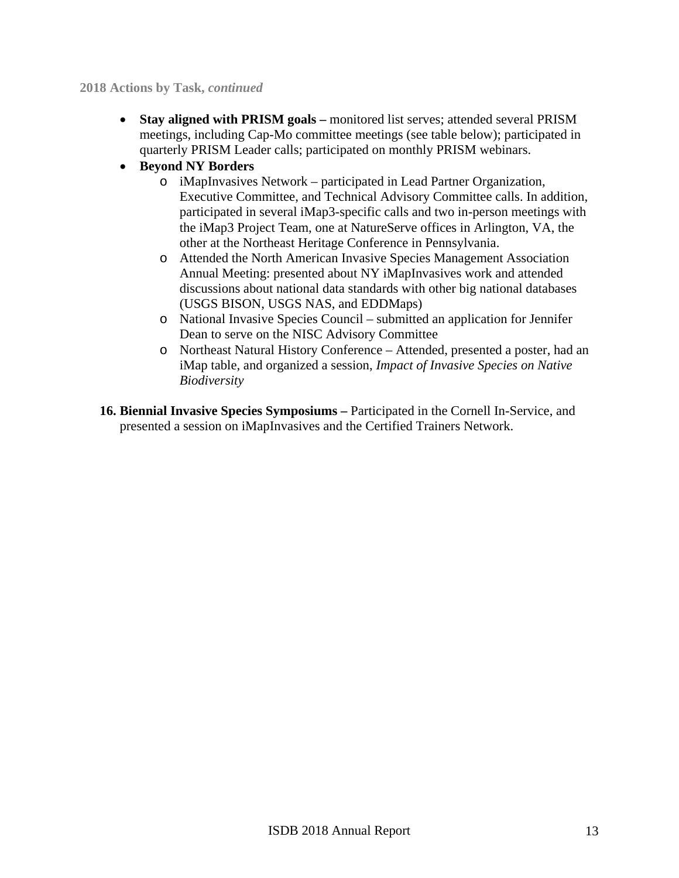#### **2018 Actions by Task,** *continued*

- **Stay aligned with PRISM goals** monitored list serves; attended several PRISM meetings, including Cap-Mo committee meetings (see table below); participated in quarterly PRISM Leader calls; participated on monthly PRISM webinars.
- **Beyond NY Borders** 
	- o iMapInvasives Network participated in Lead Partner Organization, Executive Committee, and Technical Advisory Committee calls. In addition, participated in several iMap3-specific calls and two in-person meetings with the iMap3 Project Team, one at NatureServe offices in Arlington, VA, the other at the Northeast Heritage Conference in Pennsylvania.
	- o Attended the North American Invasive Species Management Association Annual Meeting: presented about NY iMapInvasives work and attended discussions about national data standards with other big national databases (USGS BISON, USGS NAS, and EDDMaps)
	- o National Invasive Species Council submitted an application for Jennifer Dean to serve on the NISC Advisory Committee
	- o Northeast Natural History Conference Attended, presented a poster, had an iMap table, and organized a session, *Impact of Invasive Species on Native Biodiversity*
- **16. Biennial Invasive Species Symposiums** Participated in the Cornell In-Service, and presented a session on iMapInvasives and the Certified Trainers Network.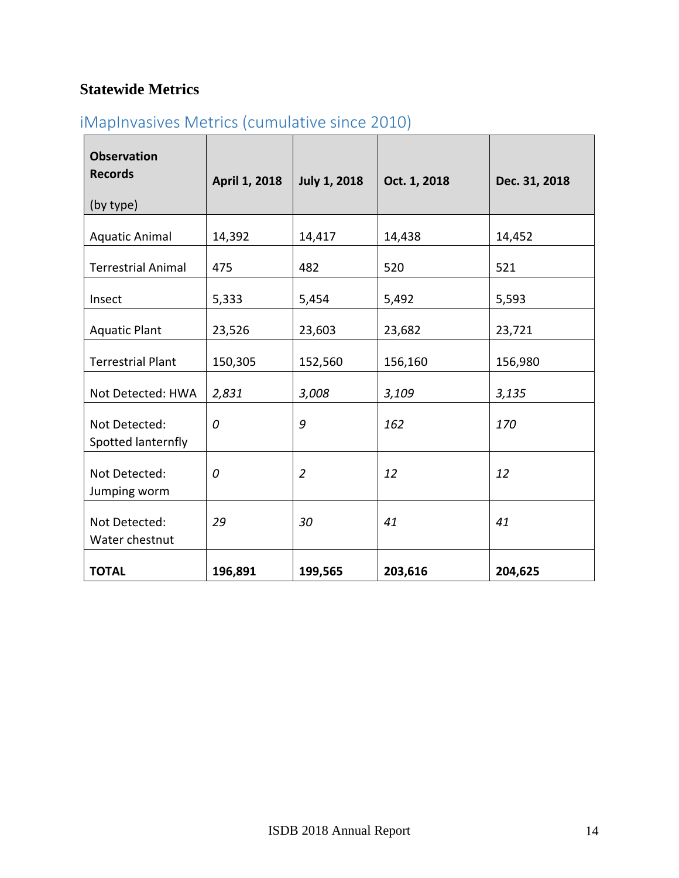# **Statewide Metrics**

# iMapInvasives Metrics (cumulative since 2010)

| <b>Observation</b><br><b>Records</b><br>(by type) | April 1, 2018 | <b>July 1, 2018</b> | Oct. 1, 2018 | Dec. 31, 2018 |
|---------------------------------------------------|---------------|---------------------|--------------|---------------|
| <b>Aquatic Animal</b>                             | 14,392        | 14,417              | 14,438       | 14,452        |
| <b>Terrestrial Animal</b>                         | 475           | 482                 | 520          | 521           |
| Insect                                            | 5,333         | 5,454               | 5,492        | 5,593         |
| <b>Aquatic Plant</b>                              | 23,526        | 23,603              | 23,682       | 23,721        |
| <b>Terrestrial Plant</b>                          | 150,305       | 152,560             | 156,160      | 156,980       |
| Not Detected: HWA                                 | 2,831         | 3,008               | 3,109        | 3,135         |
| Not Detected:<br>Spotted lanternfly               | 0             | 9                   | 162          | 170           |
| Not Detected:<br>Jumping worm                     | 0             | $\overline{2}$      | 12           | 12            |
| Not Detected:<br>Water chestnut                   | 29            | 30                  | 41           | 41            |
| <b>TOTAL</b>                                      | 196,891       | 199,565             | 203,616      | 204,625       |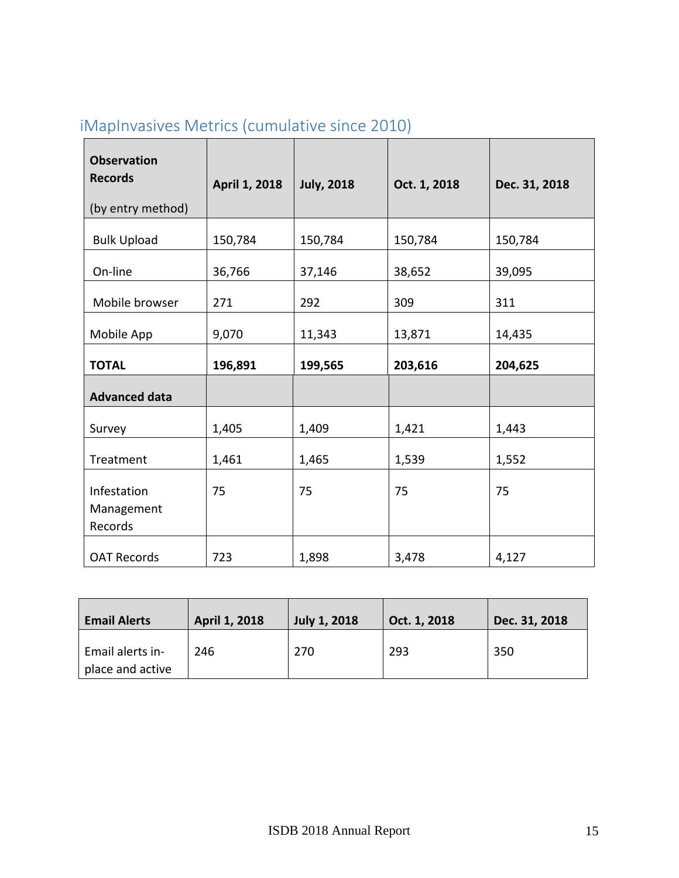| <b>Observation</b><br><b>Records</b><br>(by entry method) | April 1, 2018 | <b>July, 2018</b> | Oct. 1, 2018 | Dec. 31, 2018 |
|-----------------------------------------------------------|---------------|-------------------|--------------|---------------|
| <b>Bulk Upload</b>                                        | 150,784       | 150,784           | 150,784      | 150,784       |
| On-line                                                   | 36,766        | 37,146            | 38,652       | 39,095        |
| Mobile browser                                            | 271           | 292               | 309          | 311           |
| Mobile App                                                | 9,070         | 11,343            | 13,871       | 14,435        |
| <b>TOTAL</b>                                              | 196,891       | 199,565           | 203,616      | 204,625       |
| <b>Advanced data</b>                                      |               |                   |              |               |
| Survey                                                    | 1,405         | 1,409             | 1,421        | 1,443         |
| Treatment                                                 | 1,461         | 1,465             | 1,539        | 1,552         |
| Infestation<br>Management<br>Records                      | 75            | 75                | 75           | 75            |
| <b>OAT Records</b>                                        | 723           | 1,898             | 3,478        | 4,127         |

# iMapInvasives Metrics (cumulative since 2010)

| <b>Email Alerts</b> | <b>April 1, 2018</b> | <b>July 1, 2018</b> | Oct. 1, 2018 | Dec. 31, 2018 |
|---------------------|----------------------|---------------------|--------------|---------------|
| Email alerts in-    | 246                  | 270                 | 293          | 350           |
| place and active    |                      |                     |              |               |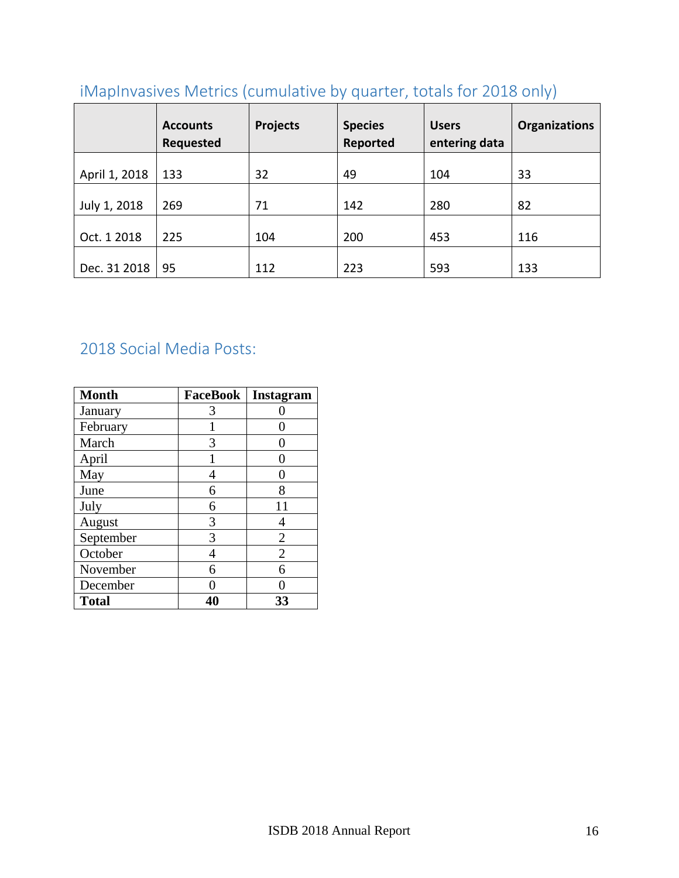|               | <b>Accounts</b><br><b>Requested</b> | <b>Projects</b> | <b>Species</b><br>Reported | <b>Users</b><br>entering data | <b>Organizations</b> |
|---------------|-------------------------------------|-----------------|----------------------------|-------------------------------|----------------------|
| April 1, 2018 | 133                                 | 32              | 49                         | 104                           | 33                   |
| July 1, 2018  | 269                                 | 71              | 142                        | 280                           | 82                   |
| Oct. 1 2018   | 225                                 | 104             | 200                        | 453                           | 116                  |
| Dec. 31 2018  | 95                                  | 112             | 223                        | 593                           | 133                  |

# iMapInvasives Metrics (cumulative by quarter, totals for 2018 only)

# 2018 Social Media Posts:

| <b>Month</b> | <b>FaceBook</b> | Instagram      |
|--------------|-----------------|----------------|
| January      | 3               |                |
| February     |                 |                |
| March        | 3               |                |
| April        |                 |                |
| May          |                 |                |
| June         | 6               | 8              |
| July         | 6               | 11             |
| August       | 3               |                |
| September    | 3               | $\overline{2}$ |
| October      | 4               | $\overline{2}$ |
| November     | 6               | 6              |
| December     |                 |                |
| <b>Total</b> |                 | 33             |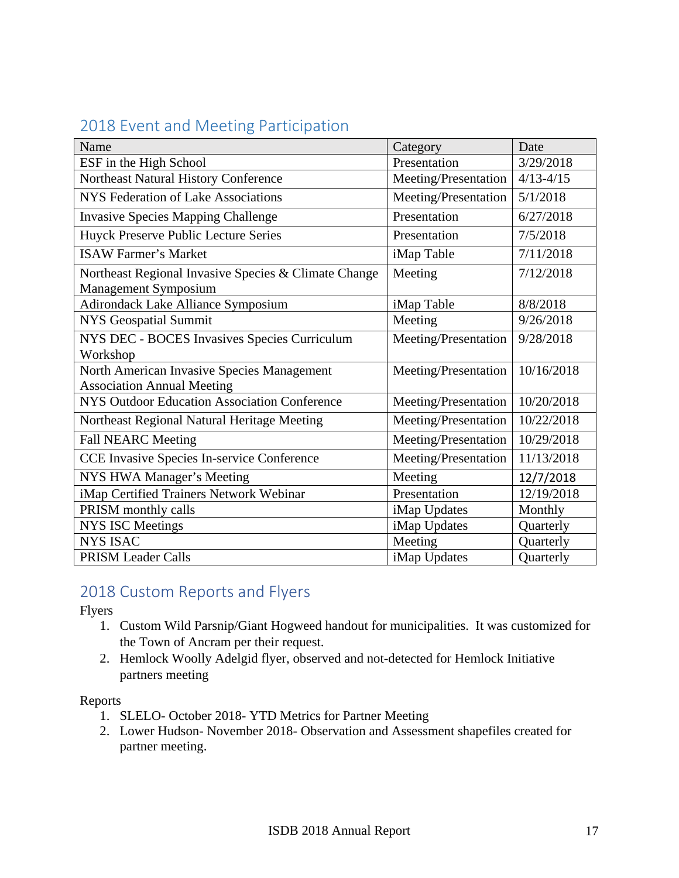# 2018 Event and Meeting Participation

| Name                                                 | Category             | Date          |
|------------------------------------------------------|----------------------|---------------|
| ESF in the High School                               | Presentation         | 3/29/2018     |
| Northeast Natural History Conference                 | Meeting/Presentation | $4/13 - 4/15$ |
| NYS Federation of Lake Associations                  | Meeting/Presentation | 5/1/2018      |
| <b>Invasive Species Mapping Challenge</b>            | Presentation         | 6/27/2018     |
| Huyck Preserve Public Lecture Series                 | Presentation         | 7/5/2018      |
| <b>ISAW Farmer's Market</b>                          | iMap Table           | 7/11/2018     |
| Northeast Regional Invasive Species & Climate Change | Meeting              | 7/12/2018     |
| <b>Management Symposium</b>                          |                      |               |
| Adirondack Lake Alliance Symposium                   | iMap Table           | 8/8/2018      |
| <b>NYS Geospatial Summit</b>                         | Meeting              | 9/26/2018     |
| NYS DEC - BOCES Invasives Species Curriculum         | Meeting/Presentation | 9/28/2018     |
| Workshop                                             |                      |               |
| North American Invasive Species Management           | Meeting/Presentation | 10/16/2018    |
| <b>Association Annual Meeting</b>                    |                      |               |
| NYS Outdoor Education Association Conference         | Meeting/Presentation | 10/20/2018    |
| Northeast Regional Natural Heritage Meeting          | Meeting/Presentation | 10/22/2018    |
| <b>Fall NEARC Meeting</b>                            | Meeting/Presentation | 10/29/2018    |
| CCE Invasive Species In-service Conference           | Meeting/Presentation | 11/13/2018    |
| NYS HWA Manager's Meeting                            | Meeting              | 12/7/2018     |
| iMap Certified Trainers Network Webinar              | Presentation         | 12/19/2018    |
| PRISM monthly calls                                  | iMap Updates         | Monthly       |
| <b>NYS ISC Meetings</b>                              | iMap Updates         | Quarterly     |
| <b>NYS ISAC</b>                                      | Meeting              | Quarterly     |
| PRISM Leader Calls                                   | iMap Updates         | Quarterly     |

# 2018 Custom Reports and Flyers

Flyers

- 1. Custom Wild Parsnip/Giant Hogweed handout for municipalities. It was customized for the Town of Ancram per their request.
- 2. Hemlock Woolly Adelgid flyer, observed and not-detected for Hemlock Initiative partners meeting

# Reports

- 1. SLELO- October 2018- YTD Metrics for Partner Meeting
- 2. Lower Hudson- November 2018- Observation and Assessment shapefiles created for partner meeting.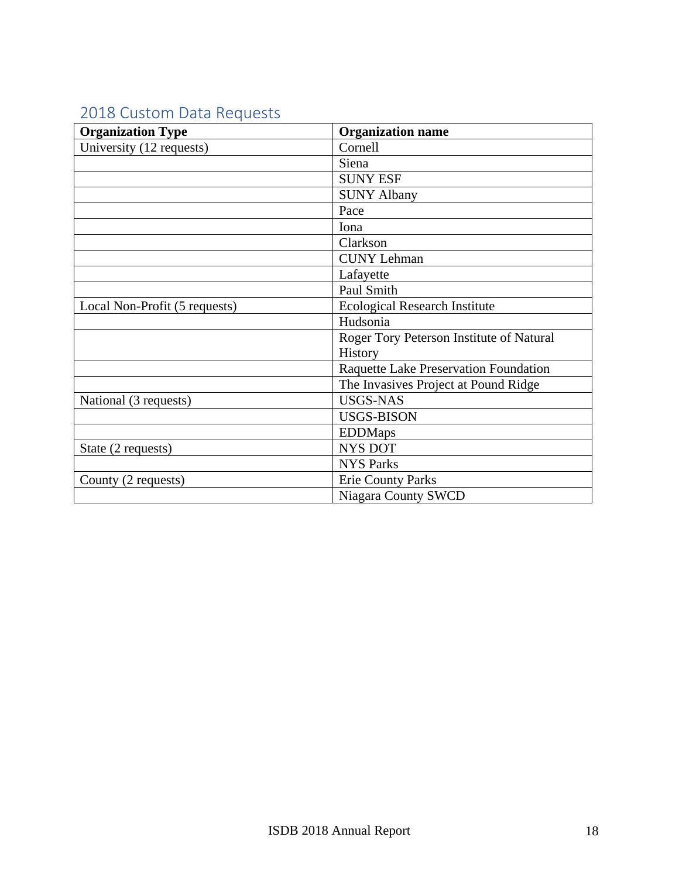# 2018 Custom Data Requests

| <b>Organization Type</b>      | <b>Organization name</b>                 |
|-------------------------------|------------------------------------------|
| University (12 requests)      | Cornell                                  |
|                               | Siena                                    |
|                               | <b>SUNY ESF</b>                          |
|                               | <b>SUNY Albany</b>                       |
|                               | Pace                                     |
|                               | Iona                                     |
|                               | Clarkson                                 |
|                               | <b>CUNY</b> Lehman                       |
|                               | Lafayette                                |
|                               | Paul Smith                               |
| Local Non-Profit (5 requests) | <b>Ecological Research Institute</b>     |
|                               | Hudsonia                                 |
|                               | Roger Tory Peterson Institute of Natural |
|                               | History                                  |
|                               | Raquette Lake Preservation Foundation    |
|                               | The Invasives Project at Pound Ridge     |
| National (3 requests)         | <b>USGS-NAS</b>                          |
|                               | <b>USGS-BISON</b>                        |
|                               | <b>EDDMaps</b>                           |
| State (2 requests)            | <b>NYS DOT</b>                           |
|                               | <b>NYS Parks</b>                         |
| County (2 requests)           | <b>Erie County Parks</b>                 |
|                               | <b>Niagara County SWCD</b>               |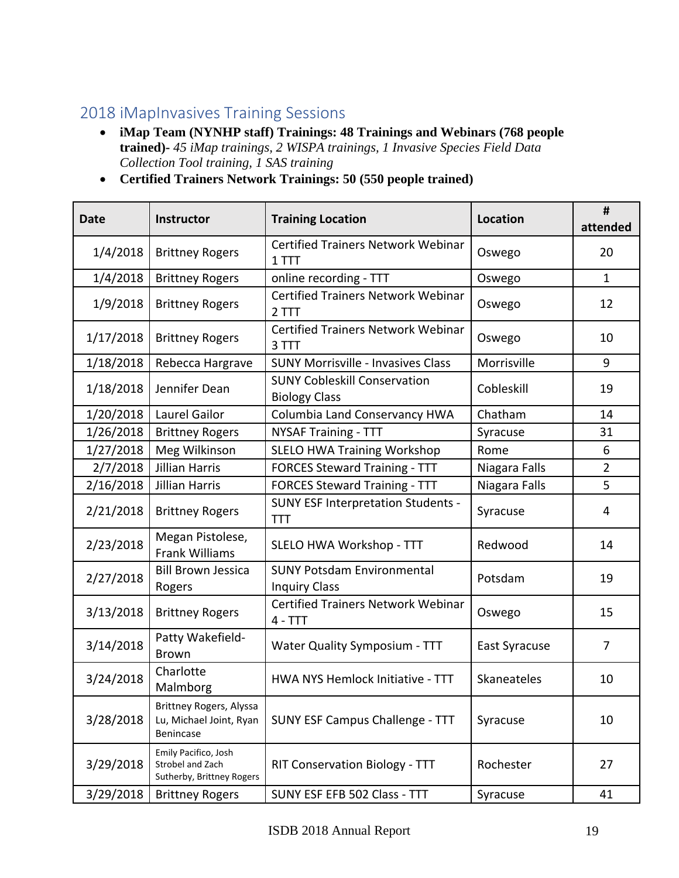# 2018 iMapInvasives Training Sessions

- **iMap Team (NYNHP staff) Trainings: 48 Trainings and Webinars (768 people trained)-** *45 iMap trainings, 2 WISPA trainings, 1 Invasive Species Field Data Collection Tool training, 1 SAS training*
- **Certified Trainers Network Trainings: 50 (550 people trained)**

| <b>Date</b> | Instructor                                                             | <b>Training Location</b>                                    | <b>Location</b> | #<br>attended  |
|-------------|------------------------------------------------------------------------|-------------------------------------------------------------|-----------------|----------------|
| 1/4/2018    | <b>Brittney Rogers</b>                                                 | <b>Certified Trainers Network Webinar</b><br>1 TTT          | Oswego          | 20             |
| 1/4/2018    | <b>Brittney Rogers</b>                                                 | online recording - TTT                                      | Oswego          | $\mathbf{1}$   |
| 1/9/2018    | <b>Brittney Rogers</b>                                                 | <b>Certified Trainers Network Webinar</b><br>2 TTT          | Oswego          | 12             |
| 1/17/2018   | <b>Brittney Rogers</b>                                                 | <b>Certified Trainers Network Webinar</b><br>3 TTT          | Oswego          | 10             |
| 1/18/2018   | Rebecca Hargrave                                                       | <b>SUNY Morrisville - Invasives Class</b>                   | Morrisville     | 9              |
| 1/18/2018   | Jennifer Dean                                                          | <b>SUNY Cobleskill Conservation</b><br><b>Biology Class</b> | Cobleskill      | 19             |
| 1/20/2018   | Laurel Gailor                                                          | <b>Columbia Land Conservancy HWA</b>                        | Chatham         | 14             |
| 1/26/2018   | <b>Brittney Rogers</b>                                                 | <b>NYSAF Training - TTT</b>                                 | Syracuse        | 31             |
| 1/27/2018   | Meg Wilkinson                                                          | <b>SLELO HWA Training Workshop</b>                          | Rome            | 6              |
| 2/7/2018    | <b>Jillian Harris</b>                                                  | <b>FORCES Steward Training - TTT</b>                        | Niagara Falls   | $\overline{2}$ |
| 2/16/2018   | <b>Jillian Harris</b>                                                  | <b>FORCES Steward Training - TTT</b>                        | Niagara Falls   | 5              |
| 2/21/2018   | <b>Brittney Rogers</b>                                                 | <b>SUNY ESF Interpretation Students -</b><br><b>TTT</b>     | Syracuse        | 4              |
| 2/23/2018   | Megan Pistolese,<br><b>Frank Williams</b>                              | SLELO HWA Workshop - TTT                                    | Redwood         | 14             |
| 2/27/2018   | <b>Bill Brown Jessica</b><br>Rogers                                    | <b>SUNY Potsdam Environmental</b><br><b>Inquiry Class</b>   | Potsdam         | 19             |
| 3/13/2018   | <b>Brittney Rogers</b>                                                 | <b>Certified Trainers Network Webinar</b><br>$4 - TTT$      | Oswego          | 15             |
| 3/14/2018   | Patty Wakefield-<br><b>Brown</b>                                       | <b>Water Quality Symposium - TTT</b>                        | East Syracuse   | $\overline{7}$ |
| 3/24/2018   | Charlotte<br>Malmborg                                                  | HWA NYS Hemlock Initiative - TTT                            | Skaneateles     | 10             |
| 3/28/2018   | Brittney Rogers, Alyssa<br>Lu, Michael Joint, Ryan<br><b>Benincase</b> | <b>SUNY ESF Campus Challenge - TTT</b>                      | Syracuse        | 10             |
| 3/29/2018   | Emily Pacifico, Josh<br>Strobel and Zach<br>Sutherby, Brittney Rogers  | RIT Conservation Biology - TTT                              | Rochester       | 27             |
| 3/29/2018   | <b>Brittney Rogers</b>                                                 | SUNY ESF EFB 502 Class - TTT                                | Syracuse        | 41             |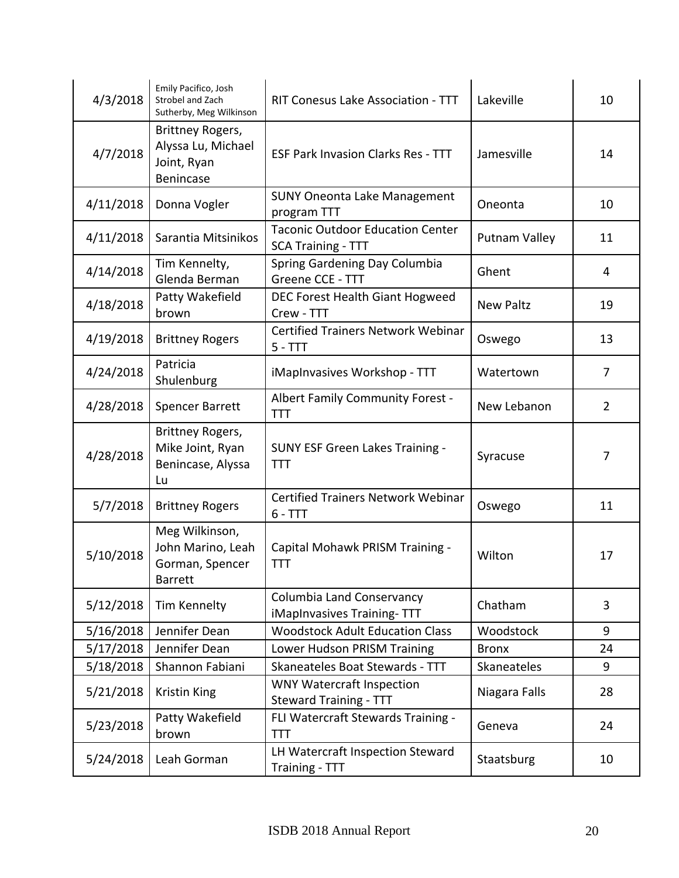| 4/3/2018  | Emily Pacifico, Josh<br>Strobel and Zach<br>Sutherby, Meg Wilkinson      | RIT Conesus Lake Association - TTT                                   | Lakeville        | 10             |
|-----------|--------------------------------------------------------------------------|----------------------------------------------------------------------|------------------|----------------|
| 4/7/2018  | Brittney Rogers,<br>Alyssa Lu, Michael<br>Joint, Ryan<br>Benincase       | <b>ESF Park Invasion Clarks Res - TTT</b>                            | Jamesville       | 14             |
| 4/11/2018 | Donna Vogler                                                             | <b>SUNY Oneonta Lake Management</b><br>program TTT                   | Oneonta          | 10             |
| 4/11/2018 | Sarantia Mitsinikos                                                      | <b>Taconic Outdoor Education Center</b><br><b>SCA Training - TTT</b> | Putnam Valley    | 11             |
| 4/14/2018 | Tim Kennelty,<br>Glenda Berman                                           | Spring Gardening Day Columbia<br>Greene CCE - TTT                    | Ghent            | 4              |
| 4/18/2018 | Patty Wakefield<br>brown                                                 | DEC Forest Health Giant Hogweed<br>Crew - TTT                        | <b>New Paltz</b> | 19             |
| 4/19/2018 | <b>Brittney Rogers</b>                                                   | <b>Certified Trainers Network Webinar</b><br>$5 - TTT$               | Oswego           | 13             |
| 4/24/2018 | Patricia<br>Shulenburg                                                   | iMapInvasives Workshop - TTT                                         | Watertown        | 7              |
| 4/28/2018 | Spencer Barrett                                                          | Albert Family Community Forest -<br><b>TTT</b>                       | New Lebanon      | $\overline{2}$ |
| 4/28/2018 | Brittney Rogers,<br>Mike Joint, Ryan<br>Benincase, Alyssa<br>Lu          | <b>SUNY ESF Green Lakes Training -</b><br><b>TTT</b>                 | Syracuse         | 7              |
| 5/7/2018  | <b>Brittney Rogers</b>                                                   | <b>Certified Trainers Network Webinar</b><br>$6 - TTT$               | Oswego           | 11             |
| 5/10/2018 | Meg Wilkinson,<br>John Marino, Leah<br>Gorman, Spencer<br><b>Barrett</b> | Capital Mohawk PRISM Training -<br>TTT                               | Wilton           | 17             |
| 5/12/2018 | Tim Kennelty                                                             | <b>Columbia Land Conservancy</b><br>iMapInvasives Training-TTT       | Chatham          | 3              |
| 5/16/2018 | Jennifer Dean                                                            | <b>Woodstock Adult Education Class</b>                               | Woodstock        | 9              |
| 5/17/2018 | Jennifer Dean                                                            | Lower Hudson PRISM Training                                          | <b>Bronx</b>     | 24             |
| 5/18/2018 | Shannon Fabiani                                                          | Skaneateles Boat Stewards - TTT                                      | Skaneateles      | 9              |
| 5/21/2018 | <b>Kristin King</b>                                                      | <b>WNY Watercraft Inspection</b><br><b>Steward Training - TTT</b>    | Niagara Falls    | 28             |
| 5/23/2018 | Patty Wakefield<br>brown                                                 | FLI Watercraft Stewards Training -<br>TTT                            | Geneva           | 24             |
| 5/24/2018 | Leah Gorman                                                              | LH Watercraft Inspection Steward<br>Training - TTT                   | Staatsburg       | 10             |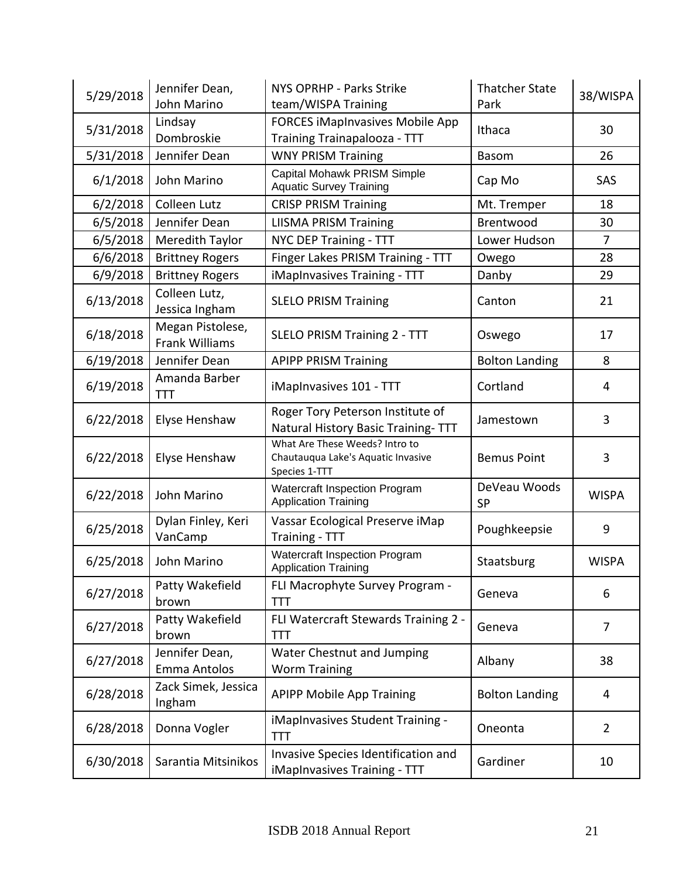| 5/29/2018 | Jennifer Dean,<br>John Marino             | <b>NYS OPRHP - Parks Strike</b><br>team/WISPA Training                                | <b>Thatcher State</b><br>Park | 38/WISPA       |
|-----------|-------------------------------------------|---------------------------------------------------------------------------------------|-------------------------------|----------------|
| 5/31/2018 | Lindsay<br>Dombroskie                     | <b>FORCES iMapInvasives Mobile App</b><br>Training Trainapalooza - TTT                | Ithaca                        | 30             |
| 5/31/2018 | Jennifer Dean                             | <b>WNY PRISM Training</b>                                                             | Basom                         | 26             |
| 6/1/2018  | John Marino                               | Capital Mohawk PRISM Simple<br><b>Aquatic Survey Training</b>                         | Cap Mo                        | SAS            |
| 6/2/2018  | Colleen Lutz                              | <b>CRISP PRISM Training</b>                                                           | Mt. Tremper                   | 18             |
| 6/5/2018  | Jennifer Dean                             | <b>LIISMA PRISM Training</b>                                                          | Brentwood                     | 30             |
| 6/5/2018  | Meredith Taylor                           | NYC DEP Training - TTT                                                                | Lower Hudson                  | 7              |
| 6/6/2018  | <b>Brittney Rogers</b>                    | Finger Lakes PRISM Training - TTT                                                     | Owego                         | 28             |
| 6/9/2018  | <b>Brittney Rogers</b>                    | iMapInvasives Training - TTT                                                          | Danby                         | 29             |
| 6/13/2018 | Colleen Lutz,<br>Jessica Ingham           | <b>SLELO PRISM Training</b>                                                           | Canton                        | 21             |
| 6/18/2018 | Megan Pistolese,<br><b>Frank Williams</b> | <b>SLELO PRISM Training 2 - TTT</b>                                                   | Oswego                        | 17             |
| 6/19/2018 | Jennifer Dean                             | <b>APIPP PRISM Training</b>                                                           | <b>Bolton Landing</b>         | 8              |
| 6/19/2018 | Amanda Barber<br>TTT                      | iMapInvasives 101 - TTT                                                               | Cortland                      | 4              |
| 6/22/2018 | Elyse Henshaw                             | Roger Tory Peterson Institute of<br>Natural History Basic Training-TTT                | Jamestown                     | 3              |
| 6/22/2018 | Elyse Henshaw                             | What Are These Weeds? Intro to<br>Chautauqua Lake's Aquatic Invasive<br>Species 1-TTT | <b>Bemus Point</b>            | 3              |
| 6/22/2018 | John Marino                               | Watercraft Inspection Program<br><b>Application Training</b>                          | DeVeau Woods<br><b>SP</b>     | <b>WISPA</b>   |
| 6/25/2018 | Dylan Finley, Keri<br>VanCamp             | Vassar Ecological Preserve iMap<br>Training - TTT                                     | Poughkeepsie                  | 9              |
| 6/25/2018 | John Marino                               | Watercraft Inspection Program<br><b>Application Training</b>                          | Staatsburg                    | <b>WISPA</b>   |
| 6/27/2018 | Patty Wakefield<br>brown                  | FLI Macrophyte Survey Program -<br>TTT                                                | Geneva                        | 6              |
| 6/27/2018 | Patty Wakefield<br>brown                  | FLI Watercraft Stewards Training 2 -<br>TTT                                           | Geneva                        | $\overline{7}$ |
| 6/27/2018 | Jennifer Dean,<br><b>Emma Antolos</b>     | Water Chestnut and Jumping<br><b>Worm Training</b>                                    | Albany                        | 38             |
| 6/28/2018 | Zack Simek, Jessica<br>Ingham             | <b>APIPP Mobile App Training</b>                                                      | <b>Bolton Landing</b>         | 4              |
| 6/28/2018 | Donna Vogler                              | iMapInvasives Student Training -<br>TTT                                               | Oneonta                       | $\overline{2}$ |
| 6/30/2018 | Sarantia Mitsinikos                       | Invasive Species Identification and<br>iMapInvasives Training - TTT                   | Gardiner                      | 10             |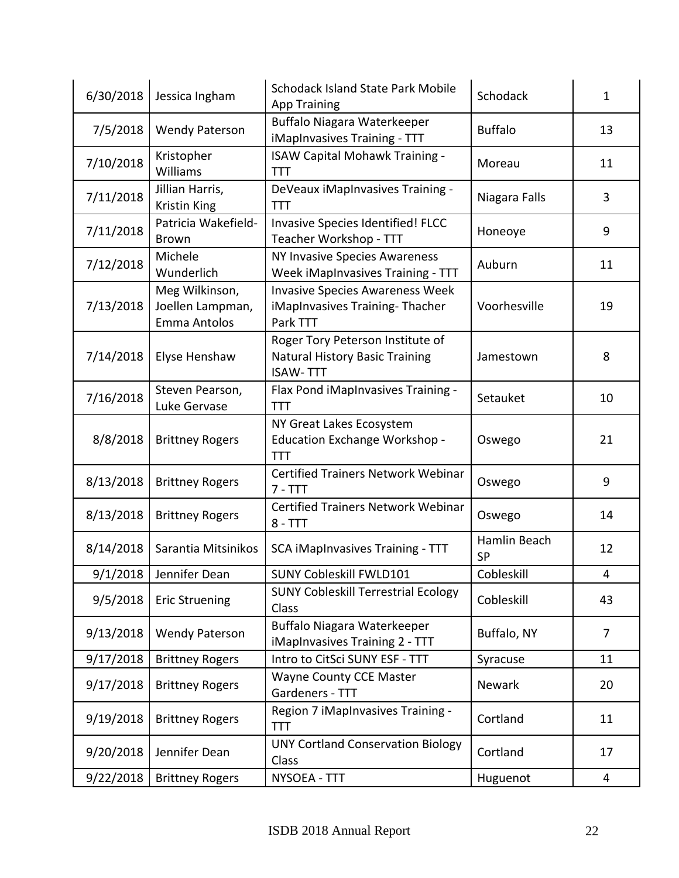| 6/30/2018 | Jessica Ingham                                     | <b>Schodack Island State Park Mobile</b><br><b>App Training</b>                              | Schodack                  | $\mathbf{1}$ |
|-----------|----------------------------------------------------|----------------------------------------------------------------------------------------------|---------------------------|--------------|
| 7/5/2018  | <b>Wendy Paterson</b>                              | Buffalo Niagara Waterkeeper<br>iMapInvasives Training - TTT                                  | <b>Buffalo</b>            | 13           |
| 7/10/2018 | Kristopher<br>Williams                             | <b>ISAW Capital Mohawk Training -</b><br><b>TTT</b>                                          | Moreau                    | 11           |
| 7/11/2018 | Jillian Harris,<br><b>Kristin King</b>             | DeVeaux iMapInvasives Training -<br><b>TTT</b>                                               | Niagara Falls             | 3            |
| 7/11/2018 | Patricia Wakefield-<br><b>Brown</b>                | Invasive Species Identified! FLCC<br>Teacher Workshop - TTT                                  | Honeoye                   | 9            |
| 7/12/2018 | Michele<br>Wunderlich                              | NY Invasive Species Awareness<br>Week iMapInvasives Training - TTT                           | Auburn                    | 11           |
| 7/13/2018 | Meg Wilkinson,<br>Joellen Lampman,<br>Emma Antolos | <b>Invasive Species Awareness Week</b><br>iMapInvasives Training-Thacher<br>Park TTT         | Voorhesville              | 19           |
| 7/14/2018 | Elyse Henshaw                                      | Roger Tory Peterson Institute of<br><b>Natural History Basic Training</b><br><b>ISAW-TTT</b> | Jamestown                 | 8            |
| 7/16/2018 | Steven Pearson,<br>Luke Gervase                    | Flax Pond iMapInvasives Training -<br><b>TTT</b>                                             | Setauket                  | 10           |
| 8/8/2018  | <b>Brittney Rogers</b>                             | NY Great Lakes Ecosystem<br>Education Exchange Workshop -<br><b>TTT</b>                      | Oswego                    | 21           |
| 8/13/2018 | <b>Brittney Rogers</b>                             | <b>Certified Trainers Network Webinar</b><br>$7 - TTT$                                       | Oswego                    | 9            |
| 8/13/2018 | <b>Brittney Rogers</b>                             | <b>Certified Trainers Network Webinar</b><br>$8 - TTT$                                       | Oswego                    | 14           |
| 8/14/2018 | Sarantia Mitsinikos                                | <b>SCA iMapInvasives Training - TTT</b>                                                      | Hamlin Beach<br><b>SP</b> | 12           |
| 9/1/2018  | Jennifer Dean                                      | <b>SUNY Cobleskill FWLD101</b>                                                               | Cobleskill                | 4            |
| 9/5/2018  | <b>Eric Struening</b>                              | <b>SUNY Cobleskill Terrestrial Ecology</b><br>Class                                          | Cobleskill                | 43           |
| 9/13/2018 | <b>Wendy Paterson</b>                              | Buffalo Niagara Waterkeeper<br>iMapInvasives Training 2 - TTT                                | Buffalo, NY               | 7            |
| 9/17/2018 | <b>Brittney Rogers</b>                             | Intro to CitSci SUNY ESF - TTT                                                               | Syracuse                  | 11           |
| 9/17/2018 | <b>Brittney Rogers</b>                             | Wayne County CCE Master<br>Gardeners - TTT                                                   | Newark                    | 20           |
| 9/19/2018 | <b>Brittney Rogers</b>                             | Region 7 iMapInvasives Training -<br><b>TTT</b>                                              | Cortland                  | 11           |
| 9/20/2018 | Jennifer Dean                                      | <b>UNY Cortland Conservation Biology</b><br>Class                                            | Cortland                  | 17           |
| 9/22/2018 | <b>Brittney Rogers</b>                             | NYSOEA - TTT                                                                                 | Huguenot                  | 4            |